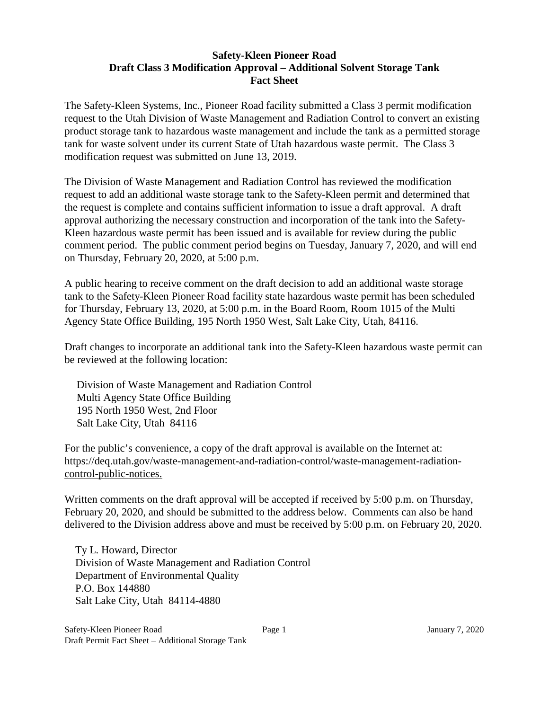## **Safety-Kleen Pioneer Road Draft Class 3 Modification Approval – Additional Solvent Storage Tank Fact Sheet**

The Safety-Kleen Systems, Inc., Pioneer Road facility submitted a Class 3 permit modification request to the Utah Division of Waste Management and Radiation Control to convert an existing product storage tank to hazardous waste management and include the tank as a permitted storage tank for waste solvent under its current State of Utah hazardous waste permit. The Class 3 modification request was submitted on June 13, 2019.

The Division of Waste Management and Radiation Control has reviewed the modification request to add an additional waste storage tank to the Safety-Kleen permit and determined that the request is complete and contains sufficient information to issue a draft approval. A draft approval authorizing the necessary construction and incorporation of the tank into the Safety-Kleen hazardous waste permit has been issued and is available for review during the public comment period. The public comment period begins on Tuesday, January 7, 2020, and will end on Thursday, February 20, 2020, at 5:00 p.m.

A public hearing to receive comment on the draft decision to add an additional waste storage tank to the Safety-Kleen Pioneer Road facility state hazardous waste permit has been scheduled for Thursday, February 13, 2020, at 5:00 p.m. in the Board Room, Room 1015 of the Multi Agency State Office Building, 195 North 1950 West, Salt Lake City, Utah, 84116.

Draft changes to incorporate an additional tank into the Safety-Kleen hazardous waste permit can be reviewed at the following location:

Division of Waste Management and Radiation Control Multi Agency State Office Building 195 North 1950 West, 2nd Floor Salt Lake City, Utah 84116

For the public's convenience, a copy of the draft approval is available on the Internet at: https://deq.utah.gov/waste-management-and-radiation-control/waste-management-radiationcontrol-public-notices.

Written comments on the draft approval will be accepted if received by 5:00 p.m. on Thursday, February 20, 2020, and should be submitted to the address below. Comments can also be hand delivered to the Division address above and must be received by 5:00 p.m. on February 20, 2020.

Ty L. Howard, Director Division of Waste Management and Radiation Control Department of Environmental Quality P.O. Box 144880 Salt Lake City, Utah 84114-4880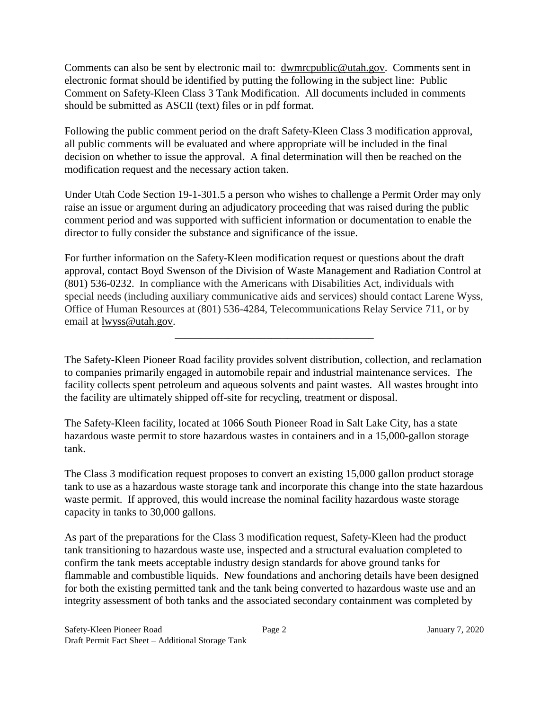Comments can also be sent by electronic mail to: dwmrcpublic@utah.gov. Comments sent in electronic format should be identified by putting the following in the subject line: Public Comment on Safety-Kleen Class 3 Tank Modification. All documents included in comments should be submitted as ASCII (text) files or in pdf format.

Following the public comment period on the draft Safety-Kleen Class 3 modification approval, all public comments will be evaluated and where appropriate will be included in the final decision on whether to issue the approval. A final determination will then be reached on the modification request and the necessary action taken.

Under Utah Code Section 19-1-301.5 a person who wishes to challenge a Permit Order may only raise an issue or argument during an adjudicatory proceeding that was raised during the public comment period and was supported with sufficient information or documentation to enable the director to fully consider the substance and significance of the issue.

For further information on the Safety-Kleen modification request or questions about the draft approval, contact Boyd Swenson of the Division of Waste Management and Radiation Control at (801) 536-0232. In compliance with the Americans with Disabilities Act, individuals with special needs (including auxiliary communicative aids and services) should contact Larene Wyss, Office of Human Resources at (801) 536-4284, Telecommunications Relay Service 711, or by email at [lwyss@utah.gov.](mailto:lwyss@utah.gov)

\_\_\_\_\_\_\_\_\_\_\_\_\_\_\_\_\_\_\_\_\_\_\_\_\_\_\_\_\_\_\_\_\_\_\_\_\_

The Safety-Kleen Pioneer Road facility provides solvent distribution, collection, and reclamation to companies primarily engaged in automobile repair and industrial maintenance services. The facility collects spent petroleum and aqueous solvents and paint wastes. All wastes brought into the facility are ultimately shipped off-site for recycling, treatment or disposal.

The Safety-Kleen facility, located at 1066 South Pioneer Road in Salt Lake City, has a state hazardous waste permit to store hazardous wastes in containers and in a 15,000-gallon storage tank.

The Class 3 modification request proposes to convert an existing 15,000 gallon product storage tank to use as a hazardous waste storage tank and incorporate this change into the state hazardous waste permit. If approved, this would increase the nominal facility hazardous waste storage capacity in tanks to 30,000 gallons.

As part of the preparations for the Class 3 modification request, Safety-Kleen had the product tank transitioning to hazardous waste use, inspected and a structural evaluation completed to confirm the tank meets acceptable industry design standards for above ground tanks for flammable and combustible liquids. New foundations and anchoring details have been designed for both the existing permitted tank and the tank being converted to hazardous waste use and an integrity assessment of both tanks and the associated secondary containment was completed by